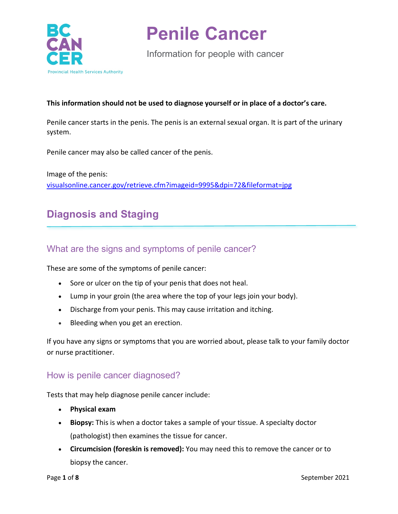

Information for people with cancer

#### **This information should not be used to diagnose yourself or in place of a doctor's care.**

Penile cancer starts in the penis. The penis is an external sexual organ. It is part of the urinary system.

Penile cancer may also be called cancer of the penis.

Image of the penis: [visualsonline.cancer.gov/retrieve.cfm?imageid=9995&dpi=72&fileformat=jpg](https://visualsonline.cancer.gov/retrieve.cfm?imageid=9995&dpi=72&fileformat=jpg)

## **Diagnosis and Staging**

### What are the signs and symptoms of penile cancer?

These are some of the symptoms of penile cancer:

- Sore or ulcer on the tip of your penis that does not heal.
- Lump in your groin (the area where the top of your legs join your body).
- Discharge from your penis. This may cause irritation and itching.
- Bleeding when you get an erection.

If you have any signs or symptoms that you are worried about, please talk to your family doctor or nurse practitioner.

### How is penile cancer diagnosed?

Tests that may help diagnose penile cancer include:

- **Physical exam**
- **Biopsy:** This is when a doctor takes a sample of your tissue. A specialty doctor (pathologist) then examines the tissue for cancer.
- **Circumcision (foreskin is removed):** You may need this to remove the cancer or to biopsy the cancer.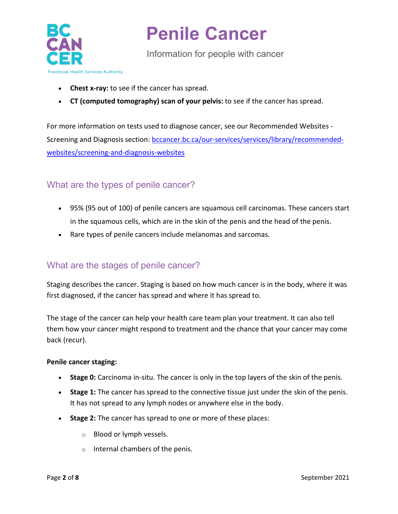

Information for people with cancer

- **Chest x-ray:** to see if the cancer has spread.
- **CT (computed tomography) scan of your pelvis:** to see if the cancer has spread.

For more information on tests used to diagnose cancer, see our Recommended Websites Screening and Diagnosis section: [bccancer.bc.ca/our-services/services/library/recommended](http://www.bccancer.bc.ca/our-services/services/library/recommended-websites/screening-and-diagnosis-websites)[websites/screening-and-diagnosis-websites](http://www.bccancer.bc.ca/our-services/services/library/recommended-websites/screening-and-diagnosis-websites)

## What are the types of penile cancer?

- 95% (95 out of 100) of penile cancers are squamous cell carcinomas. These cancers start in the squamous cells, which are in the skin of the penis and the head of the penis.
- Rare types of penile cancers include melanomas and sarcomas.

## What are the stages of penile cancer?

Staging describes the cancer. Staging is based on how much cancer is in the body, where it was first diagnosed, if the cancer has spread and where it has spread to.

The stage of the cancer can help your health care team plan your treatment. It can also tell them how your cancer might respond to treatment and the chance that your cancer may come back (recur).

#### **Penile cancer staging:**

- **Stage 0:** Carcinoma in-situ. The cancer is only in the top layers of the skin of the penis.
- **Stage 1:** The cancer has spread to the connective tissue just under the skin of the penis. It has not spread to any lymph nodes or anywhere else in the body.
- **Stage 2:** The cancer has spread to one or more of these places:
	- o Blood or lymph vessels.
	- o Internal chambers of the penis.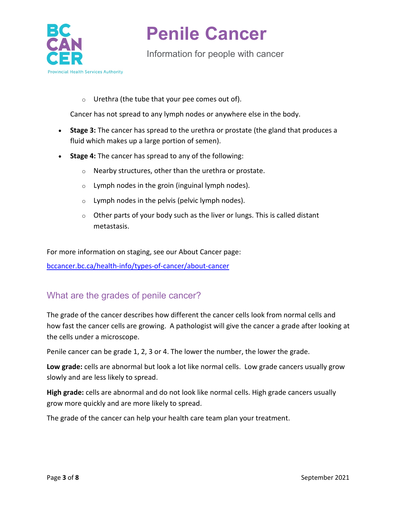

Information for people with cancer

#### $\circ$  Urethra (the tube that your pee comes out of).

Cancer has not spread to any lymph nodes or anywhere else in the body.

- **Stage 3:** The cancer has spread to the urethra or prostate (the gland that produces a fluid which makes up a large portion of semen).
- **Stage 4:** The cancer has spread to any of the following:
	- o Nearby structures, other than the urethra or prostate.
	- $\circ$  Lymph nodes in the groin (inguinal lymph nodes).
	- $\circ$  Lymph nodes in the pelvis (pelvic lymph nodes).
	- $\circ$  Other parts of your body such as the liver or lungs. This is called distant metastasis.

For more information on staging, see our About Cancer page:

[bccancer.bc.ca/health-info/types-of-cancer/about-cancer](http://www.bccancer.bc.ca/health-info/types-of-cancer/about-cancer)

### What are the grades of penile cancer?

The grade of the cancer describes how different the cancer cells look from normal cells and how fast the cancer cells are growing. A pathologist will give the cancer a grade after looking at the cells under a microscope.

Penile cancer can be grade 1, 2, 3 or 4. The lower the number, the lower the grade.

**Low grade:** cells are abnormal but look a lot like normal cells. Low grade cancers usually grow slowly and are less likely to spread.

**High grade:** cells are abnormal and do not look like normal cells. High grade cancers usually grow more quickly and are more likely to spread.

The grade of the cancer can help your health care team plan your treatment.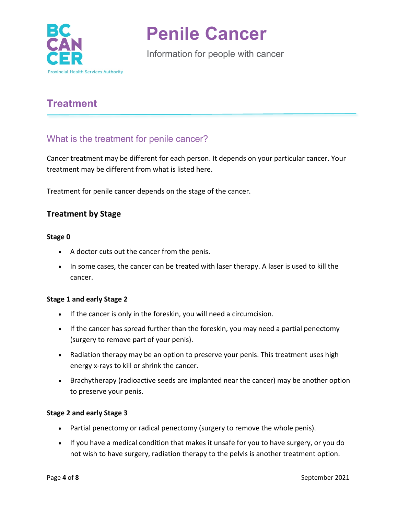

Information for people with cancer

# **Treatment**

## What is the treatment for penile cancer?

Cancer treatment may be different for each person. It depends on your particular cancer. Your treatment may be different from what is listed here.

Treatment for penile cancer depends on the stage of the cancer.

### **Treatment by Stage**

#### **Stage 0**

- A doctor cuts out the cancer from the penis.
- In some cases, the cancer can be treated with laser therapy. A laser is used to kill the cancer.

#### **Stage 1 and early Stage 2**

- If the cancer is only in the foreskin, you will need a circumcision.
- If the cancer has spread further than the foreskin, you may need a partial penectomy (surgery to remove part of your penis).
- Radiation therapy may be an option to preserve your penis. This treatment uses high energy x-rays to kill or shrink the cancer.
- Brachytherapy (radioactive seeds are implanted near the cancer) may be another option to preserve your penis.

#### **Stage 2 and early Stage 3**

- Partial penectomy or radical penectomy (surgery to remove the whole penis).
- If you have a medical condition that makes it unsafe for you to have surgery, or you do not wish to have surgery, radiation therapy to the pelvis is another treatment option.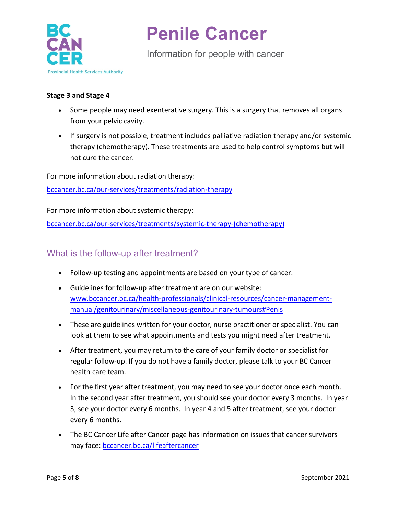

Information for people with cancer

#### **Stage 3 and Stage 4**

- Some people may need exenterative surgery. This is a surgery that removes all organs from your pelvic cavity.
- If surgery is not possible, treatment includes palliative radiation therapy and/or systemic therapy (chemotherapy). These treatments are used to help control symptoms but will not cure the cancer.

For more information about radiation therapy:

[bccancer.bc.ca/our-services/treatments/radiation-therapy](http://www.bccancer.bc.ca/our-services/treatments/radiation-therapy)

For more information about systemic therapy:

[bccancer.bc.ca/our-services/treatments/systemic-therapy-\(chemotherapy\)](http://www.bccancer.bc.ca/our-services/treatments/systemic-therapy-(chemotherapy))

### What is the follow-up after treatment?

- Follow-up testing and appointments are based on your type of cancer.
- Guidelines for follow-up after treatment are on our website: [www.bccancer.bc.ca/health-professionals/clinical-resources/cancer-management](http://www.bccancer.bc.ca/health-professionals/clinical-resources/cancer-management-manual/genitourinary/miscellaneous-genitourinary-tumours#Penis)[manual/genitourinary/miscellaneous-genitourinary-tumours#Penis](http://www.bccancer.bc.ca/health-professionals/clinical-resources/cancer-management-manual/genitourinary/miscellaneous-genitourinary-tumours#Penis)
- These are guidelines written for your doctor, nurse practitioner or specialist. You can look at them to see what appointments and tests you might need after treatment.
- After treatment, you may return to the care of your family doctor or specialist for regular follow-up. If you do not have a family doctor, please talk to your BC Cancer health care team.
- For the first year after treatment, you may need to see your doctor once each month. In the second year after treatment, you should see your doctor every 3 months. In year 3, see your doctor every 6 months. In year 4 and 5 after treatment, see your doctor every 6 months.
- The BC Cancer Life after Cancer page has information on issues that cancer survivors may face: [bccancer.bc.ca/lifeaftercancer](http://www.bccancer.bc.ca/lifeaftercancer)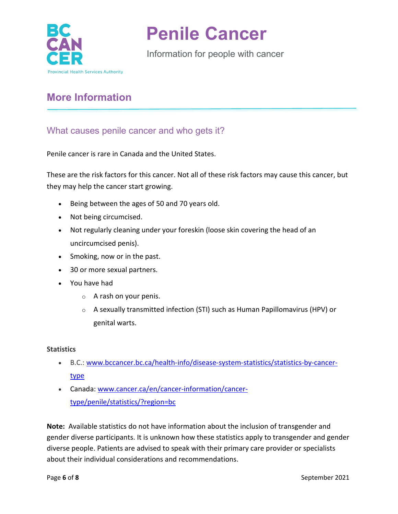

Information for people with cancer

## **More Information**

### What causes penile cancer and who gets it?

Penile cancer is rare in Canada and the United States.

These are the risk factors for this cancer. Not all of these risk factors may cause this cancer, but they may help the cancer start growing.

- Being between the ages of 50 and 70 years old.
- Not being circumcised.
- Not regularly cleaning under your foreskin (loose skin covering the head of an uncircumcised penis).
- Smoking, now or in the past.
- 30 or more sexual partners.
- You have had
	- $\circ$  A rash on your penis.
	- $\circ$  A sexually transmitted infection (STI) such as Human Papillomavirus (HPV) or genital warts.

#### **Statistics**

- B.C.: [www.bccancer.bc.ca/health-info/disease-system-statistics/statistics-by-cancer](http://www.bccancer.bc.ca/health-info/disease-system-statistics/statistics-by-cancer-type)[type](http://www.bccancer.bc.ca/health-info/disease-system-statistics/statistics-by-cancer-type)
- Canada: [www.cancer.ca/en/cancer-information/cancer](https://www.cancer.ca/en/cancer-information/cancer-type/penile/statistics/?region=bc)[type/penile/statistics/?region=bc](https://www.cancer.ca/en/cancer-information/cancer-type/penile/statistics/?region=bc)

**Note:** Available statistics do not have information about the inclusion of transgender and gender diverse participants. It is unknown how these statistics apply to transgender and gender diverse people. Patients are advised to speak with their primary care provider or specialists about their individual considerations and recommendations.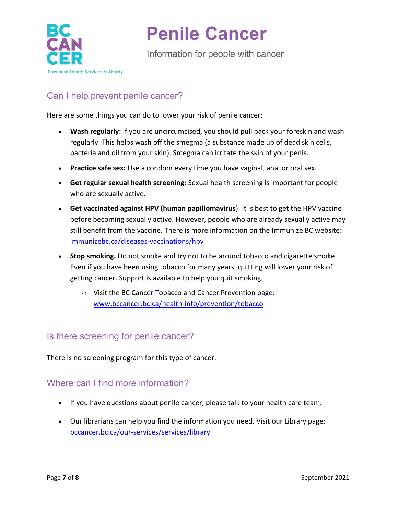

Information for people with cancer

## Can I help prevent penile cancer?

Here are some things you can do to lower your risk of penile cancer:

- **Wash regularly:** If you are uncircumcised, you should pull back your foreskin and wash regularly. This helps wash off the smegma (a substance made up of dead skin cells, bacteria and oil from your skin). Smegma can irritate the skin of your penis.
- **Practice safe sex:** Use a condom every time you have vaginal, anal or oral sex.
- **Get regular sexual health screening:** Sexual health screening is important for people who are sexually active.
- **Get vaccinated against HPV (human papillomavirus**): It is best to get the HPV vaccine before becoming sexually active. However, people who are already sexually active may still benefit from the vaccine. There is more information on the Immunize BC website: [immunizebc.ca/diseases-vaccinations/hpv](http://immunizebc.ca/diseases-vaccinations/hpv)
- **Stop smoking.** Do not smoke and try not to be around tobacco and cigarette smoke. Even if you have been using tobacco for many years, quitting will lower your risk of getting cancer. Support is available to help you quit smoking.
	- o Visit the BC Cancer Tobacco and Cancer Prevention page: [www.bccancer.bc.ca/health-info/prevention/tobacco](http://www.bccancer.bc.ca/health-info/prevention/tobacco)

### Is there screening for penile cancer?

There is no screening program for this type of cancer.

### Where can I find more information?

- If you have questions about penile cancer, please talk to your health care team.
- Our librarians can help you find the information you need. Visit our Library page: [bccancer.bc.ca/our-services/services/library](http://www.bccancer.bc.ca/our-services/services/library)